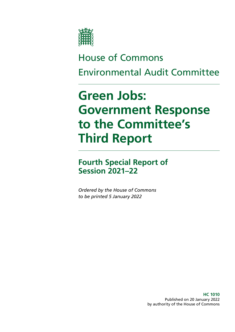

# House of Commons Environmental Audit Committee

# **Green Jobs: Government Response to the Committee's Third Report**

## **Fourth Special Report of Session 2021–22**

*Ordered by the House of Commons to be printed 5 January 2022*

> **HC 1010** Published on 20 January 2022 by authority of the House of Commons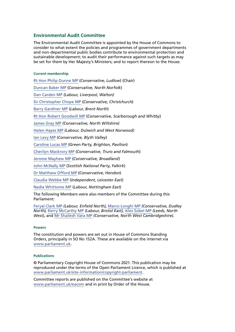## **Environmental Audit Committee**

The Environmental Audit Committee is appointed by the House of Commons to consider to what extent the policies and programmes of government departments and non-departmental public bodies contribute to environmental protection and sustainable development; to audit their performance against such targets as may be set for them by Her Majesty's Ministers; and to report thereon to the House.

#### **Current membership**

[Rt Hon Philip Dunne MP](https://www.parliament.uk/biographies/commons/mr-philip-dunne/1542) (*Conservative, Ludlow*) (Chair) [Duncan Baker MP](https://members.parliament.uk/member/4784/contact) (*Conservative, North Norfolk*) [Dan Carden MP](https://members.parliament.uk/member/4651/contact) *(Labour, Liverpool, Walton)* [Sir Christopher Chope MP](https://members.parliament.uk/member/242/contact) (*Conservative, Christchurch*) [Barry Gardiner MP](https://members.parliament.uk/member/146/contact) (*Labour, Brent North*) [Rt Hon Robert Goodwill MP](https://members.parliament.uk/member/1562/contact) (*Conservative, Scarborough and Whitby*) [James Gray MP](https://members.parliament.uk/member/261/contact) *(Conservative, North Wiltshire)* [Helen Hayes MP](https://members.parliament.uk/member/4510/contact) *(Labour, Dulwich and West Norwood)* [Ian Levy MP](https://members.parliament.uk/member/4749/contact) (*Conservative, Blyth Valley*) [Caroline Lucas MP](https://members.parliament.uk/member/3930/contact) (*Green Party, Brighton, Pavilion*) [Cherilyn Mackrory MP](https://members.parliament.uk/member/4758/contact) (*Conservative, Truro and Falmouth*) [Jerome Mayhew MP](https://members.parliament.uk/member/4739/contact) (*Conservative, Broadland*) [John McNally MP](https://members.parliament.uk/member/4424/contact) (*Scottish National Party, Falkirk*) [Dr Matthew Offord MP](https://members.parliament.uk/member/4006/contact) (*Conservative, Hendon*) [Claudia Webbe MP](https://members.parliament.uk/member/4848/contact) (*Independent, Leicester East*) [Nadia Whittome MP](https://members.parliament.uk/member/4869/contact) (*Labour, Nottingham East*) The following Members were also members of the Committee during this

Parliament: [Feryal Clark MP](https://members.parliament.uk/member/4822/contact) *(Labour, Enfield North)*, [Marco Longhi MP](https://members.parliament.uk/member/4789/contact) *(Conservative, Dudley* 

*North)*, [Kerry McCarthy MP](https://members.parliament.uk/member/1491/contact) *(Labour, Bristol East)*, [Alex Sobel MP](https://members.parliament.uk/member/4658/contact) *(Leeds, North West)*, and [Mr Shailesh Vara MP](https://members.parliament.uk/member/1496/contact) *(Conservative, North West Cambridgeshire)*.

#### **Powers**

The constitution and powers are set out in House of Commons Standing Orders, principally in SO No 152A. These are available on the internet via [www.parliament.uk](https://www.parliament.uk/).

#### **Publications**

© Parliamentary Copyright House of Commons 2021. This publication may be reproduced under the terms of the Open Parliament Licence, which is published at [www.parliament.uk/site-information/copyright-parliament.](https://www.parliament.uk/site-information/copyright-parliament/)

Committee reports are published on the Committee's website at [www.parliament.uk/eacom](https://www.parliament.uk/eacom) and in print by Order of the House.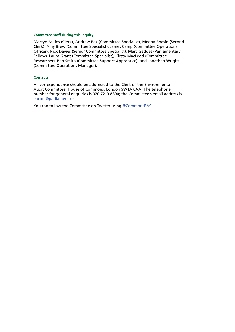#### **Committee staff during this inquiry**

Martyn Atkins (Clerk), Andrew Bax (Committee Specialist), Medha Bhasin (Second Clerk), Amy Brew (Committee Specialist), James Camp (Committee Operations Officer), Nick Davies (Senior Committee Specialist), Marc Geddes (Parliamentary Fellow), Laura Grant (Committee Specialist), Kirsty MacLeod (Committee Researcher), Ben Smith (Committee Support Apprentice), and Jonathan Wright (Committee Operations Manager).

#### **Contacts**

All correspondence should be addressed to the Clerk of the Environmental Audit Committee, House of Commons, London SW1A 0AA. The telephone number for general enquiries is 020 7219 8890; the Committee's email address is [eacom@parliament.uk.](mailto:eacom%40parliament.uk?subject=)

You can follow the Committee on Twitter using [@CommonsEAC](https://twitter.com/CommonsEAC).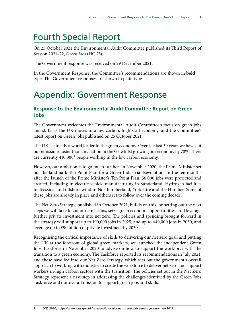## Fourth Special Report

On 25 October 2021 the Environmental Audit Committee published its Third Report of Session 2021–22, *[Green Jobs](https://committees.parliament.uk/publications/7615/documents/79773/default/)* (HC 75).

The Government response was received on 29 December 2021.

In the Government Response, the Committee's recommendations are shown in **bold** type. The Government responses are shown in plain type.

## Appendix: Government Response

## **Response to the Environmental Audit Committee Report on Green Jobs**

The Government welcomes the Environmental Audit Committee's focus on green jobs and skills as the UK moves to a low carbon, high skill economy, and the Committee's latest report on Green Jobs published on 25 October 2021.

The UK is already a world leader in the green economy. Over the last 30 years we have cut our emissions faster than any nation in the G7 whilst growing our economy by 78%. There are currently 410,000<sup>1</sup> people working in the low carbon economy.

However, our ambition is to go much further. In November 2020, the Prime Minister set out the landmark Ten Point Plan for a Green Industrial Revolution. In the ten months after the launch of the Prime Minister's Ten Point Plan, 56,000 jobs were protected and created, including in electric vehicle manufacturing in Sunderland, Hydrogen facilities in Teesside, and offshore wind in Northumberland, Yorkshire and the Humber. Some of these jobs are already in place and others set to follow over the coming decade.

The Net Zero Strategy, published in October 2021, builds on this, by setting out the next steps we will take to cut our emissions, seize green economic opportunities, and leverage further private investment into net zero. The policies and spending brought forward in the strategy will support up to 190,000 jobs in 2025, and up to 440,000 jobs in 2030, and leverage up to £90 billion of private investment by 2030.

Recognising the critical importance of skills to delivering our net zero goal, and putting the UK at the forefront of global green markets, we launched the independent Green Jobs Taskforce in November 2020 to advise on how to support the workforce with the transition to a green economy. The Taskforce reported its recommendations in July 2021, and these have fed into our Net Zero Strategy, which sets out the government's overall approach to working with industry to create the workforce to deliver net zero and support workers in-high carbon sectors with the transition. The policies set out in the Net Zero Strategy represent a first step in addressing the challenges identified by the Green Jobs Taskforce and our overall mission to support green jobs and skills.

<sup>1</sup> ONS 2020, https://www.ons.gov.uk/releases/lowcarbonandrenewableenergyeconomyuk2019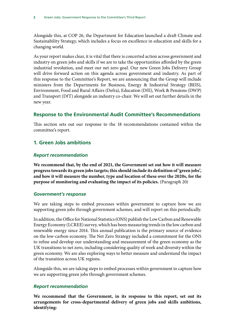Alongside this, at COP 26, the Department for Education launched a draft Climate and Sustainability Strategy, which includes a focus on excellence in education and skills for a changing world.

As your report makes clear, it is vital that there is concerted action across government and industry on green jobs and skills if we are to take the opportunities afforded by the green industrial revolution, and meet our net zero goal. Our new Green Jobs Delivery Group will drive forward action on this agenda across government and industry. As part of this response to the Committee's Report, we are announcing that the Group will include ministers from the Departments for Business, Energy & Industrial Strategy (BEIS), Environment, Food and Rural Affairs (Defra), Education (DfE), Work & Pensions (DWP) and Transport (DfT) alongside an industry co-chair. We will set out further details in the new year.

## **Response to the Environmental Audit Committee's Recommendations**

This section sets out our response to the 18 recommendations contained within the committee's report.

## **1. Green Jobs ambitions**

## *Report recommendation*

**We recommend that, by the end of 2021, the Government set out how it will measure progress towards its green jobs targets; this should include its definition of 'green jobs', and how it will measure the number, type and location of these over the 2020s, for the purpose of monitoring and evaluating the impact of its policies.** (Paragraph 20)

## *Government's response*

We are taking steps to embed processes within government to capture how we are supporting green jobs through government schemes, and will report on this periodically.

In addition, the Office for National Statistics (ONS) publish the Low Carbon and Renewable Energy Economy (LCREE) survey, which has been measuring trends in the low carbon and renewable energy since 2014. This annual publication is the primary source of evidence on the low-carbon economy. The Net Zero Strategy included a commitment for the ONS to refine and develop our understanding and measurement of the green economy as the UK transitions to net zero, including considering quality of work and diversity within the green economy. We are also exploring ways to better measure and understand the impact of the transition across UK regions.

Alongside this, we are taking steps to embed processes within government to capture how we are supporting green jobs through government schemes.

## *Report recommendation*

**We recommend that the Government, in its response to this report, set out its arrangements for cross-departmental delivery of green jobs and skills ambitions, identifying:**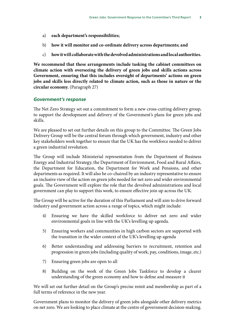- a) **each department's responsibilities;**
- b) **how it will monitor and co-ordinate delivery across departments; and**
- c) **how it will collaborate with the devolved administrations and local authorities.**

**We recommend that these arrangements include tasking the cabinet committees on climate action with overseeing the delivery of green jobs and skills actions across Government, ensuring that this includes oversight of departments' actions on green jobs and skills less directly related to climate action, such as those in nature or the circular economy.** (Paragraph 27)

### *Government's response*

The Net Zero Strategy set out a commitment to form a new cross-cutting delivery group, to support the development and delivery of the Government's plans for green jobs and skills.

We are pleased to set out further details on this group to the Committee. The Green Jobs Delivery Group will be the central forum through which government, industry and other key stakeholders work together to ensure that the UK has the workforce needed to deliver a green industrial revolution.

The Group will include Ministerial representation from the Department of Business Energy and Industrial Strategy, the Department of Environment, Food and Rural Affairs, the Department for Education, the Department for Work and Pensions, and other departments as required. It will also be co-chaired by an industry representative to ensure an inclusive view of the action on green jobs needed for net zero and wider environmental goals. The Government will explore the role that the devolved administrations and local government can play to support this work, to ensure effective join up across the UK.

The Group will be active for the duration of this Parliament and will aim to drive forward industry and government action across a range of topics, which might include:

- 4) Ensuring we have the skilled workforce to deliver net zero and wider environmental goals in line with the UK's levelling up agenda.
- 5) Ensuring workers and communities in high carbon sectors are supported with the transition in the wider context of the UK's levelling up agenda
- 6) Better understanding and addressing barriers to recruitment, retention and progression in green jobs (including quality of work, pay, conditions, image, etc.)
- 7) Ensuring green jobs are open to all
- 8) Building on the work of the Green Jobs Taskforce to develop a clearer understanding of the green economy and how to define and measure it

We will set out further detail on the Group's precise remit and membership as part of a full terms of reference in the new year.

Government plans to monitor the delivery of green jobs alongside other delivery metrics on net zero. We are looking to place climate at the centre of government decision-making.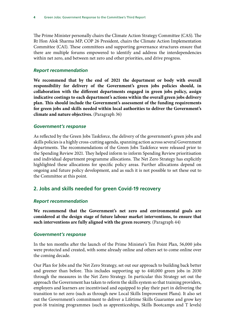The Prime Minister personally chairs the Climate Action Strategy Committee (CAS). The Rt Hon Alok Sharma MP, COP 26 President, chairs the Climate Action Implementation Committee (CAI). These committees and supporting governance structures ensure that there are multiple forums empowered to identify and address the interdependencies within net zero, and between net zero and other priorities, and drive progress.

## *Report recommendation*

**We recommend that by the end of 2021 the department or body with overall responsibility for delivery of the Government's green jobs policies should, in collaboration with the different departments engaged in green jobs policy, assign indicative costings to each department's actions within the overall green jobs delivery plan. This should include the Government's assessment of the funding requirements for green jobs and skills needed within local authorities to deliver the Government's climate and nature objectives.** (Paragraph 36)

## *Government's response*

As reflected by the Green Jobs Taskforce, the delivery of the government's green jobs and skills policies is a highly cross-cutting agenda, spanning action across several Government departments. The recommendations of the Green Jobs Taskforce were released prior to the Spending Review 2021. They helped inform to inform Spending Review prioritisation and individual department programme allocations. The Net Zero Strategy has explicitly highlighted these allocations for specific policy areas. Further allocations depend on ongoing and future policy development, and as such it is not possible to set these out to the Committee at this point.

## **2. Jobs and skills needed for green Covid-19 recovery**

## *Report recommendation*

**We recommend that the Government's net zero and environmental goals are considered at the design stage of future labour market interventions, to ensure that such interventions are fully aligned with the green recovery.** (Paragraph 44)

## *Government's response*

In the ten months after the launch of the Prime Minister's Ten Point Plan, 56,000 jobs were protected and created, with some already online and others set to come online over the coming decade.

Our Plan for Jobs and the Net Zero Strategy, set out our approach to building back better and greener than before. This includes supporting up to 440,000 green jobs in 2030 through the measures in the Net Zero Strategy. In particular this Strategy set out the approach the Government has taken to reform the skills system so that training providers, employers and learners are incentivised and equipped to play their part in delivering the transition to net zero (such as through new Local Skills Improvement Plans). It also set out the Government's commitment to deliver a Lifetime Skills Guarantee and grow key post-16 training programmes (such as apprenticeships, Skills Bootcamps and T levels)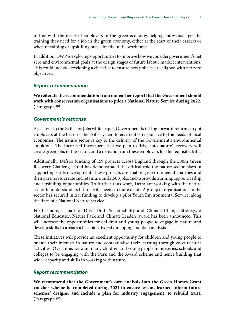in line with the needs of employers in the green economy, helping individuals get the training they need for a job in the green economy, either at the start of their careers or when retraining or upskilling once already in the workforce.

In addition, DWP is exploring opportunities to improve how we consider government's net zero and environmental goals at the design stages of future labour market interventions. This could include developing a checklist to ensure new policies are aligned with net zero objectives.

### *Report recommendation*

**We reiterate the recommendation from our earlier report that the Government should work with conservation organisations to pilot a National Nature Service during 2022.**  (Paragraph 55)

#### *Government's response*

As set out in the Skills for Jobs white paper, Government is taking forward reforms to put employers at the heart of the skills system to ensure it is responsive to the needs of local economies. The nature sector is key to the delivery of the Government's environmental ambitions. The increased investment that we plan to drive into nature's recovery will create green jobs in the sector, and a demand from these employers for the requisite skills.

Additionally, Defra's funding of 159 projects across England through the £80m Green Recovery Challenge Fund has demonstrated the critical role the nature sector plays in supporting skills development. These projects are enabling environmental charities and their partners to create and retain around 2,500 jobs, and to provide training, apprenticeship and upskilling opportunities. To further thus work, Defra are working with the nature sector to understand its future skills needs in more detail. A group of organisations in the sector has secured initial funding to develop a pilot Youth Environmental Service, along the lines of a National Nature Service.

Furthermore, as part of DfE's Draft Sustainability and Climate Change Strategy, a National Education Nature Park and Climate Leaders award has been announced. This will increase the opportunities for children and young people to engage in nature and develop skills in areas such as bio-diversity mapping and data analysis.

These initiatives will provide an excellent opportunity for children and young people to pursue their interests in nature and contextualise their learning through co-curricular activities. Over time, we want many children and young people in nurseries, schools and colleges to be engaging with the Park and the Award scheme and hence building that wider capacity and skills in working with nature.

#### *Report recommendation*

**We recommend that the Government's own analysis into the Green Homes Grant voucher scheme be completed during 2021 to ensure lessons learned inform future schemes' designs, and include a plan for industry engagement, to rebuild trust.**  (Paragraph 65)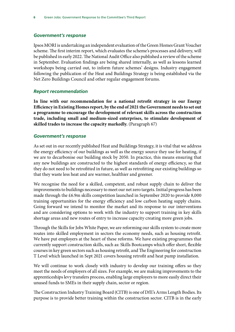## *Government's response*

Ipsos MORI is undertaking an independent evaluation of the Green Homes Grant Voucher scheme. The first interim report, which evaluates the scheme's processes and delivery, will be published in early 2022. The National Audit Office also published a review of the scheme in September. Evaluation findings are being shared internally, as well as lessons learned workshops being carried out, to inform future schemes' designs. Industry engagement following the publication of the Heat and Buildings Strategy is being established via the Net Zero Buildings Council and other regular engagement forums.

## *Report recommendation*

**In line with our recommendation for a national retrofit strategy in our Energy Efficiency in Existing Homes report, by the end of 2021 the Government needs to set out a programme to encourage the development of relevant skills across the construction trade, including small and medium-sized enterprises, to stimulate development of skilled trades to increase the capacity markedly.** (Paragraph 67)

## *Government's response*

As set out in our recently published Heat and Buildings Strategy, it is vital that we address the energy efficiency of our buildings as well as the energy source they use for heating, if we are to decarbonise our building stock by 2050. In practice, this means ensuring that any new buildings are constructed to the highest standards of energy efficiency, so that they do not need to be retrofitted in future, as well as retrofitting our existing buildings so that they waste less heat and are warmer, healthier and greener.

We recognise the need for a skilled, competent, and robust supply chain to deliver the improvements to buildings necessary to meet our net zero targets. Initial progress has been made through the £6.9m skills competition launched in September 2020 to provide 8,000 training opportunities for the energy efficiency and low carbon heating supply chains. Going forward we intend to monitor the market and its response to our interventions and are considering options to work with the industry to support training in key skills shortage areas and new routes of entry to increase capacity creating more green jobs.

Through the Skills for Jobs White Paper, we are reforming our skills system to create more routes into skilled employment in sectors the economy needs, such as housing retrofit. We have put employers at the heart of these reforms. We have existing programmes that currently support construction skills, such as: Skills Bootcamps which offer short, flexible courses in key green sectors such as housing retrofit, and The Engineering for construction T Level which launched in Sept 2021 covers housing retrofit and heat pump installation.

We will continue to work closely with industry to develop our training offers so they meet the needs of employers of all sizes. For example, we are making improvements to the apprenticeships levy transfers process, enabling large employers to more easily direct their unused funds to SMEs in their supply chain, sector or region.

The Construction Industry Training Board (CITB) is one of DfE's Arms Length Bodies. Its purpose is to provide better training within the construction sector. CITB is in the early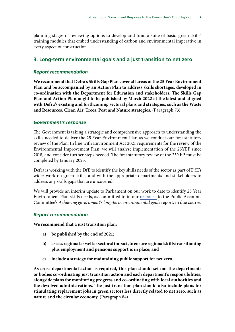planning stages of reviewing options to develop and fund a suite of basic 'green skills' training modules that embed understanding of carbon and environmental imperative in every aspect of construction.

## **3. Long-term environmental goals and a just transition to net zero**

## *Report recommendation*

**We recommend that Defra's Skills Gap Plan cover all areas of the 25 Year Environment Plan and be accompanied by an Action Plan to address skills shortages, developed in co-ordination with the Department for Education and stakeholders. The Skills Gap Plan and Action Plan ought to be published by March 2022 at the latest and aligned with Defra's existing and forthcoming sectoral plans and strategies, such as the Waste and Resources, Clean Air, Trees, Peat and Nature strategies.** (Paragraph 73)

## *Government's response*

The Government is taking a strategic and comprehensive approach to understanding the skills needed to deliver the 25 Year Environment Plan as we conduct our first statutory review of the Plan. In line with Environment Act 2021 requirements for the review of the Environmental Improvement Plan, we will analyse implementation of the 25YEP since 2018, and consider further steps needed. The first statutory review of the 25YEP must be completed by January 2023.

Defra is working with the DfE to identify the key skills needs of the sector as part of DfE's wider work on green skills, and with the appropriate departments and stakeholders to address any skills gaps that are uncovered.

We will provide an interim update to Parliament on our work to date to identify 25 Year Environment Plan skills needs, as committed to in our [response](https://eur02.safelinks.protection.outlook.com/?url=https%3A%2F%2Fassets.publishing.service.gov.uk%2Fgovernment%2Fuploads%2Fsystem%2Fuploads%2Fattachment_data%2Ffile%2F978402%2FCCS207_CCS0421353226-001_TM_40-44_PRINT.pdf&data=04%7C01%7CSusanna.Buxton%40beis.gov.uk%7C2bb28ecfed3c42fb380408d9a81af331%7Ccbac700502c143ebb497e6492d1b2dd8%7C0%7C1%7C637725655975483072%7CUnknown%7CTWFpbGZsb3d8eyJWIjoiMC4wLjAwMDAiLCJQIjoiV2luMzIiLCJBTiI6Ik1haWwiLCJXVCI6Mn0%3D%7C3000&sdata=hbuDa4LJWGXyYYpzYcMSJE%2BElbIemJ0dPlMtneBgez4%3D&reserved=0) to the Public Accounts Committee's *Achieving government's long-term environmental goals* report, in due course.

## *Report recommendation*

**We recommend that a just transition plan:**

- **a) be published by the end of 2021;**
- **b) assess regional as well as sectoral impact, to ensure regional skills transitioning plus employment and pensions support is in place; and**
- **c) include a strategy for maintaining public support for net zero.**

**As cross-departmental action is required, this plan should set out the departments or bodies co-ordinating just transition action and each department's responsibilities, alongside plans for monitoring progress and co-ordinating with local authorities and the devolved administrations. The just transition plan should also include plans for stimulating replacement jobs in green sectors less directly related to net zero, such as nature and the circular economy.** (Paragraph 84)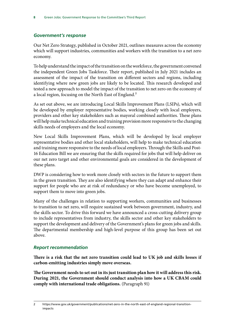## *Government's response*

Our Net Zero Strategy, published in October 2021, outlines measures across the economy which will support industries, communities and workers with the transition to a net zero economy.

To help understand the impact of the transition on the workforce, the government convened the independent Green Jobs Taskforce. Their report, published in July 2021 includes an assessment of the impact of the transition on different sectors and regions, including identifying where new green jobs are likely to be located. This research developed and tested a new approach to model the impact of the transition to net zero on the economy of a local region, focusing on the North East of England.<sup>2</sup>

As set out above, we are introducing Local Skills Improvement Plans (LSIPs), which will be developed by employer representative bodies, working closely with local employers, providers and other key stakeholders such as mayoral combined authorities. These plans will help make technical education and training provision more responsive to the changing skills needs of employers and the local economy.

New Local Skills Improvement Plans, which will be developed by local employer representative bodies and other local stakeholders, will help to make technical education and training more responsive to the needs of local employers. Through the Skills and Post-16 Education Bill we are ensuring that the skills required for jobs that will help deliver on our net zero target and other environmental goals are considered in the development of these plans.

DWP is considering how to work more closely with sectors in the future to support them in the green transition. They are also identifying where they can adapt and enhance their support for people who are at risk of redundancy or who have become unemployed, to support them to move into green jobs.

Many of the challenges in relation to supporting workers, communities and businesses to transition to net zero, will require sustained work between government, industry, and the skills sector. To drive this forward we have announced a cross-cutting delivery group to include representatives from industry, the skills sector and other key stakeholders to support the development and delivery of the Government's plans for green jobs and skills. The departmental membership and high-level purpose of this group has been set out above.

## *Report recommendation*

**There is a risk that the net zero transition could lead to UK job and skills losses if carbon-emitting industries simply move overseas.**

**The Government needs to set out in its just transition plan how it will address this risk. During 2021, the Government should conduct analysis into how a UK CBAM could comply with international trade obligations.** (Paragraph 91)

<sup>2</sup> https://www.gov.uk/government/publications/net-zero-in-the-north-east-of-england-regional-transitionimpacts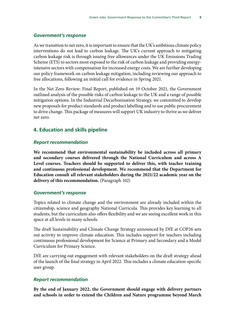## *Government's response*

As we transition to net zero, it is important to ensure that the UK's ambitious climate policy interventions do not lead to carbon leakage. The UK's current approach to mitigating carbon leakage risk is through issuing free allowances under the UK Emissions Trading Scheme (ETS) to sectors most exposed to the risk of carbon leakage and providing energyintensive sectors with compensation for increased energy costs. We are further developing our policy framework on carbon leakage mitigation, including reviewing our approach to free allocations, following an initial call for evidence in Spring 2021.

In the Net Zero Review: Final Report, published on 19 October 2021, the Government outlined analysis of the possible risks of carbon leakage to the UK and a range of possible mitigation options. In the Industrial Decarbonisation Strategy, we committed to develop new proposals for product standards and product labelling and to use public procurement to drive change. This package of measures will support UK industry to thrive as we deliver net zero.

## **4. Education and skills pipeline**

## *Report recommendation*

**We recommend that environmental sustainability be included across all primary and secondary courses delivered through the National Curriculum and across A Level courses. Teachers should be supported to deliver this, with teacher training and continuous professional development. We recommend that the Department for Education consult all relevant stakeholders during the 2021/22 academic year on the delivery of this recommendation.** (Paragraph 102)

## *Government's response*

Topics related to climate change and the environment are already included within the citizenship, science and geography National Curricula. This provides key learning to all students, but the curriculum also offers flexibility and we are seeing excellent work in this space at all levels in many schools.

The draft Sustainability and Climate Change Strategy announced by DfE at COP26 sets out activity to improve climate education. This includes support for teachers including continuous professional development for Science at Primary and Secondary and a Model Curriculum for Primary Science.

DfE are carrying out engagement with relevant stakeholders on the draft strategy ahead of the launch of the final strategy in April 2022. This includes a climate education-specific user group.

## *Report recommendation*

**By the end of January 2022, the Government should engage with delivery partners and schools in order to extend the Children and Nature programme beyond March**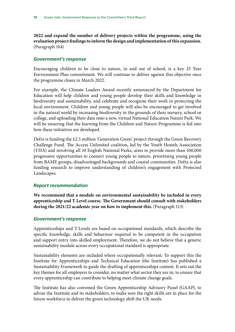**2022 and expand the number of delivery projects within the programme, using the evaluation project findings to inform the design and implementation of this expansion.**  (Paragraph 104)

## *Government's response*

Encouraging children to be close to nature, in and out of school, is a key 25 Year Environment Plan commitment. We will continue to deliver against this objective once the programme closes in March 2022.

For example, the Climate Leaders Award recently announced by the Department for Education will help children and young people develop their skills and knowledge in biodiversity and sustainability, and celebrate and recognise their work in protecting the local environment. Children and young people will also be encouraged to get involved in the natural world by increasing biodiversity in the grounds of their nursery, school or college, and uploading their data onto a new, virtual National Education Nature Park. We will be ensuring that the learning from the Children and Nature Programme is fed into how these initiatives are developed.

Defra is funding the £2.5 million 'Generation Green' project through the Green Recovery Challenge Fund. The Access Unlimited coalition, led by the Youth Hostels Association (YHA) and involving all 10 English National Parks, aims to provide more than 100,000 progressive opportunities to connect young people to nature, prioritising young people from BAME groups, disadvantaged backgrounds and coastal communities. Defra is also funding research to improve understanding of children's engagement with Protected Landscapes.

### *Report recommendation*

**We recommend that a module on environmental sustainability be included in every apprenticeship and T Level course. The Government should consult with stakeholders during the 2021/22 academic year on how to implement this.** (Paragraph 113)

### *Government's response*

Apprenticeships and T-Levels are based on occupational standards, which describe the specific knowledge, skills and behaviour required to be competent in the occupation and support entry into skilled employment. Therefore, we do not believe that a generic sustainability module across every occupational standard is appropriate.

Sustainability elements are included where occupationally relevant. To support this the Institute for Apprenticeships and Technical Education (the Institute) has published a Sustainability Framework to guide the drafting of apprenticeships content. It sets out the key themes for all employers to consider, no matter what sector they are in, to ensure that every apprenticeship can contribute to helping meet climate change goals.

The Institute has also convened the Green Apprenticeship Advisory Panel (GAAP), to advise the Institute and its stakeholders, to make sure the right skills are in place for the future workforce to deliver the green technology shift the UK needs.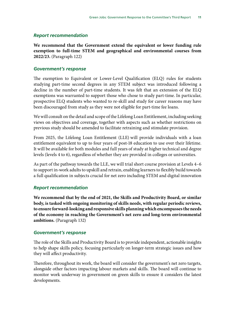### *Report recommendation*

**We recommend that the Government extend the equivalent or lower funding rule exemption to full-time STEM and geographical and environmental courses from 2022/23.** (Paragraph 122)

### *Government's response*

The exemption to Equivalent or Lower-Level Qualification (ELQ) rules for students studying part-time second degrees in any STEM subject was introduced following a decline in the number of part-time students. It was felt that an extension of the ELQ exemptions was warranted to support those who chose to study part-time. In particular, prospective ELQ students who wanted to re-skill and study for career reasons may have been discouraged from study as they were not eligible for part-time fee loans.

We will consult on the detail and scope of the Lifelong Loan Entitlement, including seeking views on objectives and coverage, together with aspects such as whether restrictions on previous study should be amended to facilitate retraining and stimulate provision.

From 2025, the Lifelong Loan Entitlement (LLE) will provide individuals with a loan entitlement equivalent to up to four years of post-18 education to use over their lifetime. It will be available for both modules and full years of study at higher technical and degree levels (levels 4 to 6), regardless of whether they are provided in colleges or universities.

As part of the pathway towards the LLE, we will trial short course provision at Levels 4–6 to support in-work adults to upskill and retrain, enabling learners to flexibly build towards a full qualification in subjects crucial for net zero including STEM and digital innovation

## *Report recommendation*

**We recommend that by the end of 2021, the Skills and Productivity Board, or similar body, is tasked with ongoing monitoring of skills needs, with regular periodic reviews, to ensure forward-looking and responsive skills planning which encompasses the needs of the economy in reaching the Government's net zero and long-term environmental ambitions.** (Paragraph 132)

#### *Government's response*

The role of the Skills and Productivity Board is to provide independent, actionable insights to help shape skills policy, focusing particularly on longer-term strategic issues and how they will affect productivity.

Therefore, throughout its work, the board will consider the government's net zero targets, alongside other factors impacting labour markets and skills. The board will continue to monitor work underway in government on green skills to ensure it considers the latest developments.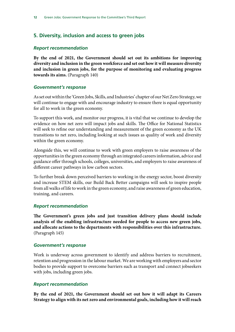## **5. Diversity, inclusion and access to green jobs**

## *Report recommendation*

**By the end of 2021, the Government should set out its ambitions for improving diversity and inclusion in the green workforce and set out how it will measure diversity and inclusion in green jobs, for the purpose of monitoring and evaluating progress towards its aims.** (Paragraph 140)

## *Government's response*

As set out within the 'Green Jobs, Skills, and Industries' chapter of our Net Zero Strategy, we will continue to engage with and encourage industry to ensure there is equal opportunity for all to work in the green economy.

To support this work, and monitor our progress, it is vital that we continue to develop the evidence on how net zero will impact jobs and skills. The Office for National Statistics will seek to refine our understanding and measurement of the green economy as the UK transitions to net zero, including looking at such issues as quality of work and diversity within the green economy.

Alongside this, we will continue to work with green employers to raise awareness of the opportunities in the green economy through an integrated careers information, advice and guidance offer through schools, colleges, universities, and employers to raise awareness of different career pathways in low carbon sectors.

To further break down perceived barriers to working in the energy sector, boost diversity and increase STEM skills, our Build Back Better campaigns will seek to inspire people from all walks of life to work in the green economy, and raise awareness of green education, training, and careers.

### *Report recommendation*

**The Government's green jobs and just transition delivery plans should include analysis of the enabling infrastructure needed for people to access new green jobs, and allocate actions to the departments with responsibilities over this infrastructure.** (Paragraph 145)

### *Government's response*

Work is underway across government to identify and address barriers to recruitment, retention and progression in the labour market. We are working with employers and sector bodies to provide support to overcome barriers such as transport and connect jobseekers with jobs, including green jobs.

### *Report recommendation*

**By the end of 2021, the Government should set out how it will adapt its Careers Strategy to align with its net zero and environmental goals, including how it will reach**